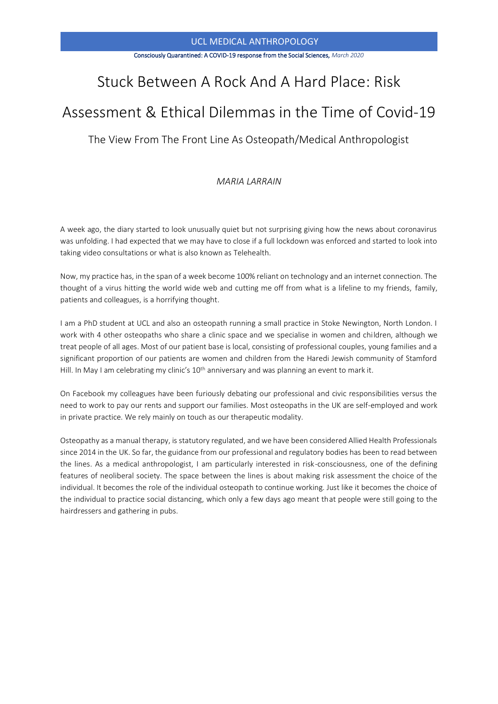#### Consciously Quarantined: A COVID-19 response from the Social Sciences, *March 2020*

# Stuck Between A Rock And A Hard Place: Risk

# Assessment & Ethical Dilemmas in the Time of Covid-19

The View From The Front Line As Osteopath/Medical Anthropologist

# *MARIA LARRAIN*

A week ago, the diary started to look unusually quiet but not surprising giving how the news about coronavirus was unfolding. I had expected that we may have to close if a full lockdown was enforced and started to look into taking video consultations or what is also known as Telehealth.

Now, my practice has, in the span of a week become 100% reliant on technology and an internet connection. The thought of a virus hitting the world wide web and cutting me off from what is a lifeline to my friends, family, patients and colleagues, is a horrifying thought.

I am a PhD student at UCL and also an osteopath running a small practice in Stoke Newington, North London. I work with 4 other osteopaths who share a clinic space and we specialise in women and children, although we treat people of all ages. Most of our patient base is local, consisting of professional couples, young families and a significant proportion of our patients are women and children from the Haredi Jewish community of Stamford Hill. In May I am celebrating my clinic's 10<sup>th</sup> anniversary and was planning an event to mark it.

On Facebook my colleagues have been furiously debating our professional and civic responsibilities versus the need to work to pay our rents and support our families. Most osteopaths in the UK are self-employed and work in private practice. We rely mainly on touch as our therapeutic modality.

Osteopathy as a manual therapy, is statutory regulated, and we have been considered Allied Health Professionals since 2014 in the UK. So far, the guidance from our professional and regulatory bodies has been to read between the lines. As a medical anthropologist, I am particularly interested in risk-consciousness, one of the defining features of neoliberal society. The space between the lines is about making risk assessment the choice of the individual. It becomes the role of the individual osteopath to continue working. Just like it becomes the choice of the individual to practice social distancing, which only a few days ago meant that people were still going to the hairdressers and gathering in pubs.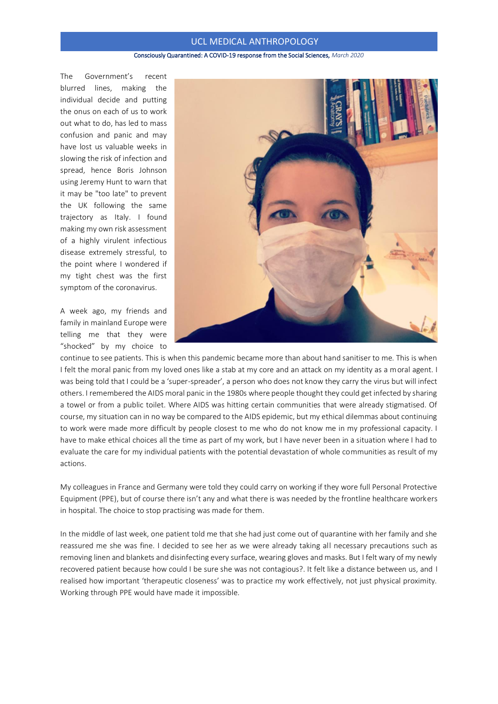#### Consciously Quarantined: A COVID-19 response from the Social Sciences, *March 2020*

The Government's recent blurred lines, making the individual decide and putting the onus on each of us to work out what to do, has led to mass confusion and panic and may have lost us valuable weeks in slowing the risk of infection and spread, hence Boris Johnson using Jeremy Hunt to warn that it may be "too late" to prevent the UK following the same trajectory as Italy. I found making my own risk assessment of a highly virulent infectious disease extremely stressful, to the point where I wondered if my tight chest was the first symptom of the coronavirus.

A week ago, my friends and family in mainland Europe were telling me that they were "shocked" by my choice to



continue to see patients. This is when this pandemic became more than about hand sanitiser to me. This is when I felt the moral panic from my loved ones like a stab at my core and an attack on my identity as a moral agent. I was being told that I could be a 'super-spreader', a person who does not know they carry the virus but will infect others. I remembered the AIDS moral panic in the 1980s where people thought they could get infected by sharing a towel or from a public toilet. Where AIDS was hitting certain communities that were already stigmatised. Of course, my situation can in no way be compared to the AIDS epidemic, but my ethical dilemmas about continuing to work were made more difficult by people closest to me who do not know me in my professional capacity. I have to make ethical choices all the time as part of my work, but I have never been in a situation where I had to evaluate the care for my individual patients with the potential devastation of whole communities as result of my actions.

My colleagues in France and Germany were told they could carry on working if they wore full Personal Protective Equipment (PPE), but of course there isn't any and what there is was needed by the frontline healthcare workers in hospital. The choice to stop practising was made for them.

In the middle of last week, one patient told me that she had just come out of quarantine with her family and she reassured me she was fine. I decided to see her as we were already taking all necessary precautions such as removing linen and blankets and disinfecting every surface, wearing gloves and masks. But I felt wary of my newly recovered patient because how could I be sure she was not contagious?. It felt like a distance between us, and I realised how important 'therapeutic closeness' was to practice my work effectively, not just physical proximity. Working through PPE would have made it impossible.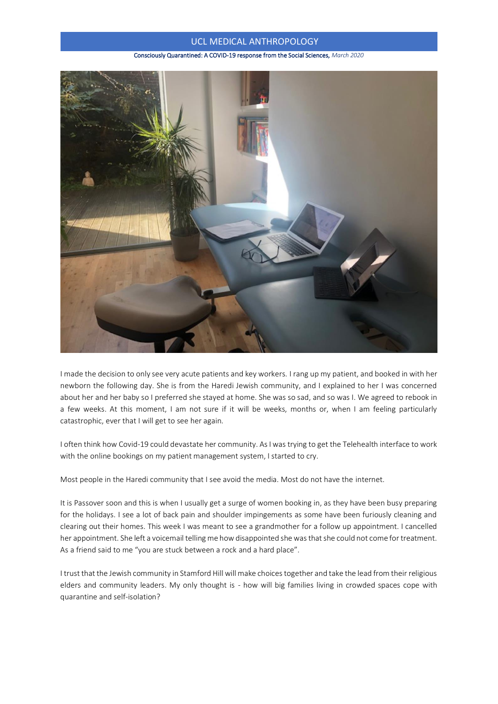#### Consciously Quarantined: A COVID-19 response from the Social Sciences, *March 2020*



I made the decision to only see very acute patients and key workers. I rang up my patient, and booked in with her newborn the following day. She is from the Haredi Jewish community, and I explained to her I was concerned about her and her baby so I preferred she stayed at home. She was so sad, and so was I. We agreed to rebook in a few weeks. At this moment, I am not sure if it will be weeks, months or, when I am feeling particularly catastrophic, ever that I will get to see her again.

I often think how Covid-19 could devastate her community. As I was trying to get the Telehealth interface to work with the online bookings on my patient management system, I started to cry.

Most people in the Haredi community that I see avoid the media. Most do not have the internet.

It is Passover soon and this is when I usually get a surge of women booking in, as they have been busy preparing for the holidays. I see a lot of back pain and shoulder impingements as some have been furiously cleaning and clearing out their homes. This week I was meant to see a grandmother for a follow up appointment. I cancelled her appointment. She left a voicemail telling me how disappointed she was that she could not come for treatment. As a friend said to me "you are stuck between a rock and a hard place".

I trust that the Jewish community in Stamford Hill will make choices together and take the lead from their religious elders and community leaders. My only thought is - how will big families living in crowded spaces cope with quarantine and self-isolation?